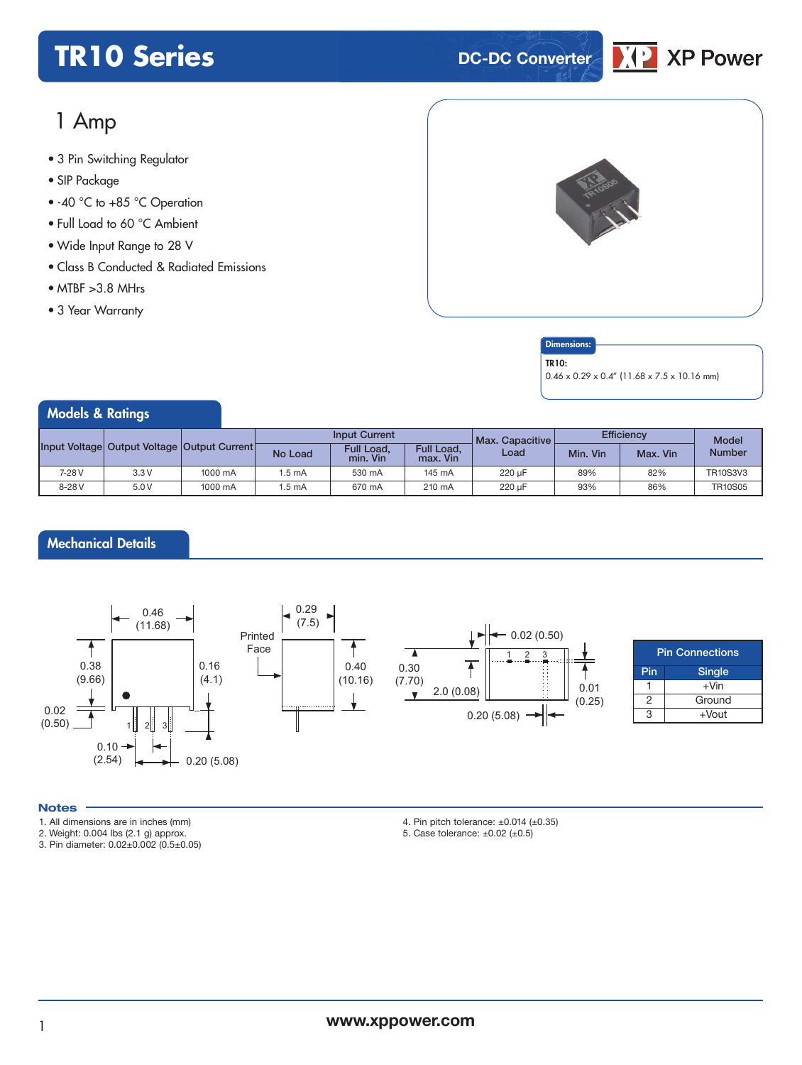## **TR10 Series DC-DC** Converter



### 1 Amp

- **xxx Series** 3 Pin Switching Regulator
- SIP Package
- -40 °C to +85 °C Operation
- Full Load to 60 °C Ambient
- Wide Input Range to 28 V
- Class B Conducted & Radiated Emissions
- $\bullet$  MTBF  $>3.8$  MHrs
- 3 Year Warranty



#### **Dimensions**

TR10:

0.46 x 0.29 x 0.4" (11.68 x 7.5 x 10.16 mm)

| Models & Ratings |                                             |         |                      |                        |                        |                   |                   |          |                 |
|------------------|---------------------------------------------|---------|----------------------|------------------------|------------------------|-------------------|-------------------|----------|-----------------|
|                  | Input Voltage Output Voltage Output Current |         | <b>Input Current</b> |                        |                        | Max. Capacitive L | <b>Efficiency</b> |          | <b>Model</b>    |
|                  |                                             |         | No Load              | Full Load,<br>min. Vin | Full Load,<br>max. Vin | Load              | Min. Vin          | Max. Vin | <b>Number</b>   |
| 7-28 V           | 3.3V                                        | 1000 mA | 1.5 mA               | 530 mA                 | 145 mA                 | 220 uF            | 89%               | 82%      | <b>TR10S3V3</b> |
| 8-28 V           | 5.0V                                        | 1000 mA | 1.5 mA               | 670 mA                 | 210 mA                 | 220 µF            | 93%               | 86%      | <b>TR10S05</b>  |

#### Mechanical Details



#### **Notes**

- 1. All dimensions are in inches (mm)
- 2. Weight: 0.004 lbs (2.1 g) approx.
- 3. Pin diameter: 0.02±0.002 (0.5±0.05)
- 4. Pin pitch tolerance:  $\pm 0.014$  ( $\pm 0.35$ )
- 5. Case tolerance: ±0.02 (±0.5)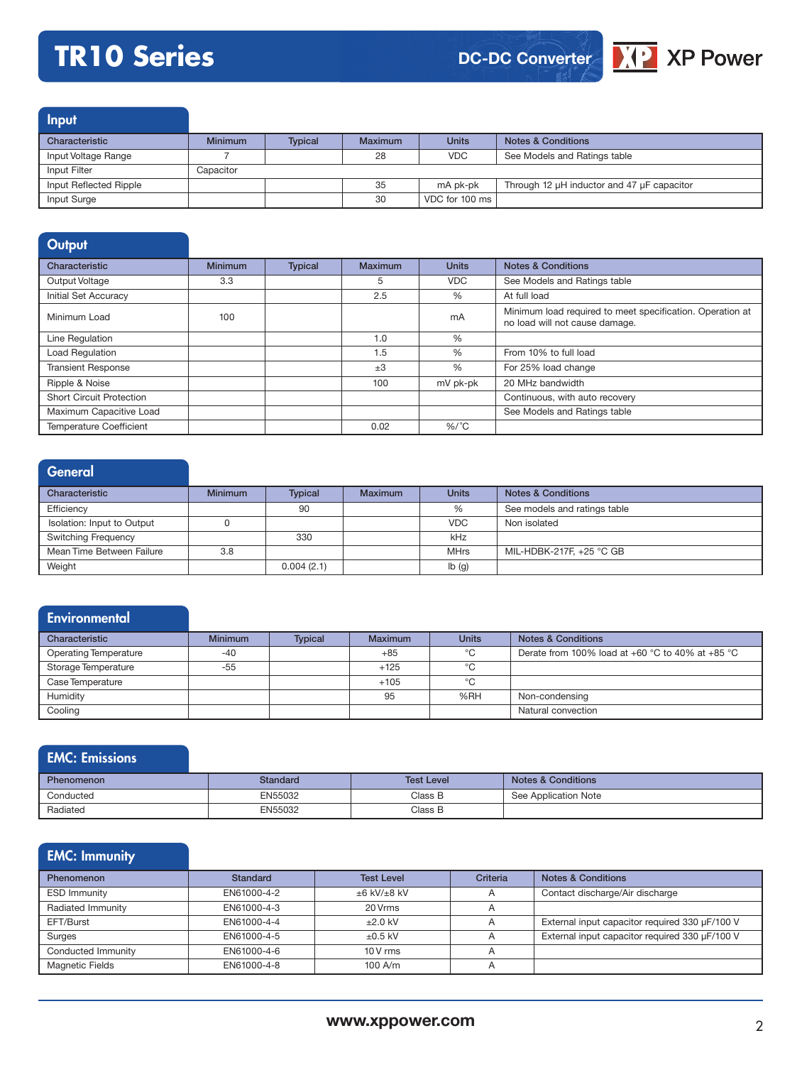# **TR10 Series**



Input

| Characteristic         | <b>Minimum</b> | <b>Typical</b> | Maximum | <b>Units</b>   | <b>Notes &amp; Conditions</b>                        |
|------------------------|----------------|----------------|---------|----------------|------------------------------------------------------|
| Input Voltage Range    |                |                | 28      | VDC.           | See Models and Ratings table                         |
| Input Filter           | Capacitor      |                |         |                |                                                      |
| Input Reflected Ripple |                |                | 35      | mA pk-pk       | Through 12 $\mu$ H inductor and 47 $\mu$ F capacitor |
| Input Surge            |                |                | 30      | VDC for 100 ms |                                                      |

| Output                          |                |                |                |              |                                                                                             |
|---------------------------------|----------------|----------------|----------------|--------------|---------------------------------------------------------------------------------------------|
| Characteristic                  | <b>Minimum</b> | <b>Typical</b> | <b>Maximum</b> | <b>Units</b> | <b>Notes &amp; Conditions</b>                                                               |
| Output Voltage                  | 3.3            |                | 5              | <b>VDC</b>   | See Models and Ratings table                                                                |
| <b>Initial Set Accuracy</b>     |                |                | 2.5            | %            | At full load                                                                                |
| Minimum Load                    | 100            |                |                | mA           | Minimum load required to meet specification. Operation at<br>no load will not cause damage. |
| Line Regulation                 |                |                | 1.0            | %            |                                                                                             |
| Load Regulation                 |                |                | 1.5            | %            | From 10% to full load                                                                       |
| <b>Transient Response</b>       |                |                | $+3$           | %            | For 25% load change                                                                         |
| Ripple & Noise                  |                |                | 100            | mV pk-pk     | 20 MHz bandwidth                                                                            |
| <b>Short Circuit Protection</b> |                |                |                |              | Continuous, with auto recovery                                                              |
| Maximum Capacitive Load         |                |                |                |              | See Models and Ratings table                                                                |
| <b>Temperature Coefficient</b>  |                |                | 0.02           | $\%$ /°C     |                                                                                             |

| General                    |                |                |                |              |                               |
|----------------------------|----------------|----------------|----------------|--------------|-------------------------------|
| Characteristic             | <b>Minimum</b> | <b>Typical</b> | <b>Maximum</b> | <b>Units</b> | <b>Notes &amp; Conditions</b> |
| Efficiency                 |                | 90             |                | %            | See models and ratings table  |
| Isolation: Input to Output |                |                |                | <b>VDC</b>   | Non isolated                  |
| <b>Switching Frequency</b> |                | 330            |                | kHz          |                               |
| Mean Time Between Failure  | 3.8            |                |                | <b>MHrs</b>  | MIL-HDBK-217F, +25 °C GB      |
| Weight                     |                | 0.004(2.1)     |                | Ib(g)        |                               |

#### **Environmental**

| Characteristic               | <b>Minimum</b> | <b>Typical</b> | <b>Maximum</b> | <b>Units</b> | <b>Notes &amp; Conditions</b>                    |
|------------------------------|----------------|----------------|----------------|--------------|--------------------------------------------------|
| <b>Operating Temperature</b> | $-40$          |                | $+85$          | °C           | Derate from 100% load at +60 °C to 40% at +85 °C |
| Storage Temperature          | $-55$          |                | $+125$         | °C           |                                                  |
| Case Temperature             |                |                | $+105$         | $^{\circ}$ C |                                                  |
| Humidity                     |                |                | 95             | %RH          | Non-condensing                                   |
| Cooling                      |                |                |                |              | Natural convection                               |

#### EMC: Emissions

| <b>Phenomenon</b> | Standard | <b>Test Level</b> | <b>Notes &amp; Conditions</b> |
|-------------------|----------|-------------------|-------------------------------|
| Conducted         | EN55032  | Class B           | See Application Note          |
| Radiated          | EN55032  | Class B           |                               |

### EMC: Immunity

| <b>Phenomenon</b>      | Standard    | <b>Test Level</b>      | Criteria       | <b>Notes &amp; Conditions</b>                  |
|------------------------|-------------|------------------------|----------------|------------------------------------------------|
| <b>ESD Immunity</b>    | EN61000-4-2 | $\pm 6$ kV/ $\pm 8$ kV |                | Contact discharge/Air discharge                |
| Radiated Immunity      | EN61000-4-3 | 20 Vrms                | A              |                                                |
| EFT/Burst              | EN61000-4-4 | $+2.0$ kV              | $\overline{A}$ | External input capacitor required 330 µF/100 V |
| Surges                 | EN61000-4-5 | $\pm 0.5$ kV           |                | External input capacitor required 330 µF/100 V |
| Conducted Immunity     | EN61000-4-6 | $10V$ rms              | $\overline{A}$ |                                                |
| <b>Magnetic Fields</b> | EN61000-4-8 | $100$ A/m              | $\overline{A}$ |                                                |